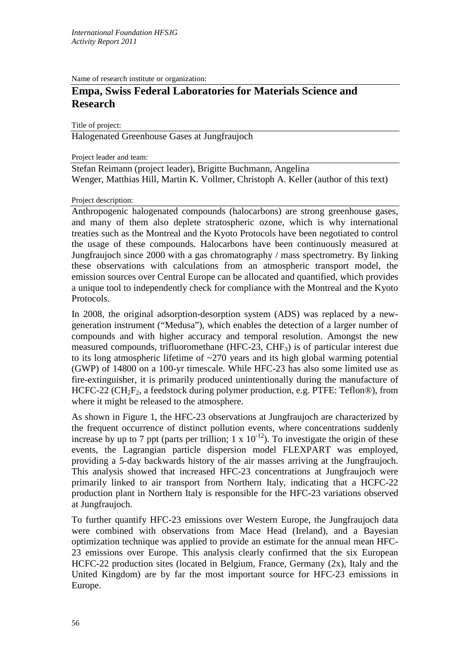Name of research institute or organization:

# **Empa, Swiss Federal Laboratories for Materials Science and Research**

Title of project:

Halogenated Greenhouse Gases at Jungfraujoch

Project leader and team:

Stefan Reimann (project leader), Brigitte Buchmann, Angelina Wenger, Matthias Hill, Martin K. Vollmer, Christoph A. Keller (author of this text)

#### Project description:

Anthropogenic halogenated compounds (halocarbons) are strong greenhouse gases, and many of them also deplete stratospheric ozone, which is why international treaties such as the Montreal and the Kyoto Protocols have been negotiated to control the usage of these compounds. Halocarbons have been continuously measured at Jungfraujoch since 2000 with a gas chromatography / mass spectrometry. By linking these observations with calculations from an atmospheric transport model, the emission sources over Central Europe can be allocated and quantified, which provides a unique tool to independently check for compliance with the Montreal and the Kyoto Protocols.

In 2008, the original adsorption-desorption system (ADS) was replaced by a newgeneration instrument ("Medusa"), which enables the detection of a larger number of compounds and with higher accuracy and temporal resolution. Amongst the new measured compounds, trifluoromethane (HFC-23, CHF3) is of particular interest due to its long atmospheric lifetime of ~270 years and its high global warming potential (GWP) of 14800 on a 100-yr timescale. While HFC-23 has also some limited use as fire-extinguisher, it is primarily produced unintentionally during the manufacture of HCFC-22 (CH<sub>2</sub>F<sub>2</sub>, a feedstock during polymer production, e.g. PTFE: Teflon®), from where it might be released to the atmosphere.

As shown in Figure 1, the HFC-23 observations at Jungfraujoch are characterized by the frequent occurrence of distinct pollution events, where concentrations suddenly increase by up to 7 ppt (parts per trillion;  $1 \times 10^{-12}$ ). To investigate the origin of these events, the Lagrangian particle dispersion model FLEXPART was employed, providing a 5-day backwards history of the air masses arriving at the Jungfraujoch. This analysis showed that increased HFC-23 concentrations at Jungfraujoch were primarily linked to air transport from Northern Italy, indicating that a HCFC-22 production plant in Northern Italy is responsible for the HFC-23 variations observed at Jungfraujoch.

To further quantify HFC-23 emissions over Western Europe, the Jungfraujoch data were combined with observations from Mace Head (Ireland), and a Bayesian optimization technique was applied to provide an estimate for the annual mean HFC-23 emissions over Europe. This analysis clearly confirmed that the six European HCFC-22 production sites (located in Belgium, France, Germany (2x), Italy and the United Kingdom) are by far the most important source for HFC-23 emissions in Europe.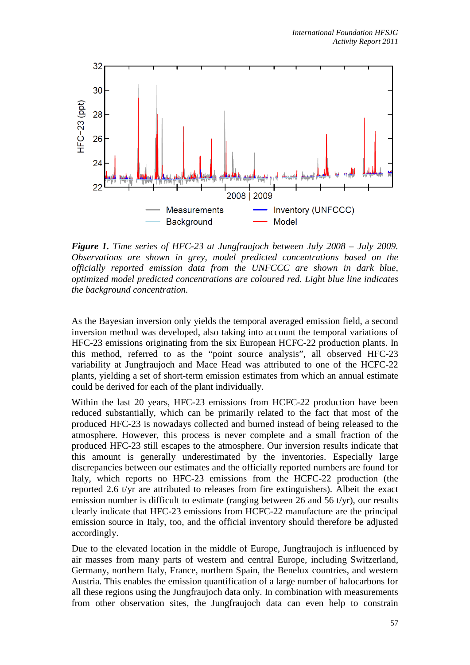

*Figure 1. Time series of HFC-23 at Jungfraujoch between July 2008 – July 2009. Observations are shown in grey, model predicted concentrations based on the officially reported emission data from the UNFCCC are shown in dark blue, optimized model predicted concentrations are coloured red. Light blue line indicates the background concentration.*

As the Bayesian inversion only yields the temporal averaged emission field, a second inversion method was developed, also taking into account the temporal variations of HFC-23 emissions originating from the six European HCFC-22 production plants. In this method, referred to as the "point source analysis", all observed HFC-23 variability at Jungfraujoch and Mace Head was attributed to one of the HCFC-22 plants, yielding a set of short-term emission estimates from which an annual estimate could be derived for each of the plant individually.

Within the last 20 years, HFC-23 emissions from HCFC-22 production have been reduced substantially, which can be primarily related to the fact that most of the produced HFC-23 is nowadays collected and burned instead of being released to the atmosphere. However, this process is never complete and a small fraction of the produced HFC-23 still escapes to the atmosphere. Our inversion results indicate that this amount is generally underestimated by the inventories. Especially large discrepancies between our estimates and the officially reported numbers are found for Italy, which reports no HFC-23 emissions from the HCFC-22 production (the reported 2.6 t/yr are attributed to releases from fire extinguishers). Albeit the exact emission number is difficult to estimate (ranging between 26 and 56  $t/yr$ ), our results clearly indicate that HFC-23 emissions from HCFC-22 manufacture are the principal emission source in Italy, too, and the official inventory should therefore be adjusted accordingly.

Due to the elevated location in the middle of Europe, Jungfraujoch is influenced by air masses from many parts of western and central Europe, including Switzerland, Germany, northern Italy, France, northern Spain, the Benelux countries, and western Austria. This enables the emission quantification of a large number of halocarbons for all these regions using the Jungfraujoch data only. In combination with measurements from other observation sites, the Jungfraujoch data can even help to constrain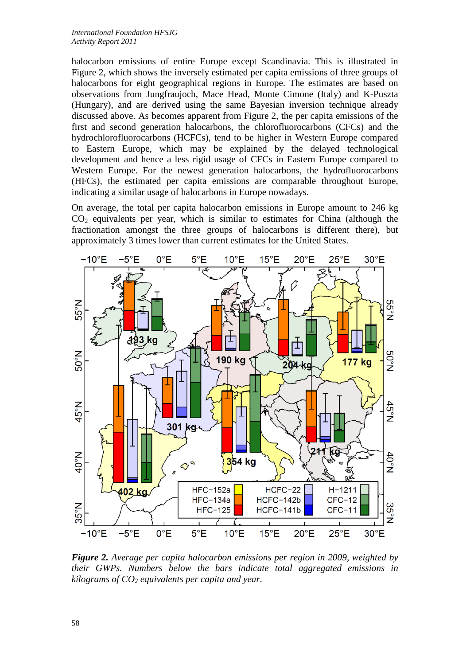halocarbon emissions of entire Europe except Scandinavia. This is illustrated in Figure 2, which shows the inversely estimated per capita emissions of three groups of halocarbons for eight geographical regions in Europe. The estimates are based on observations from Jungfraujoch, Mace Head, Monte Cimone (Italy) and K-Puszta (Hungary), and are derived using the same Bayesian inversion technique already discussed above. As becomes apparent from Figure 2, the per capita emissions of the first and second generation halocarbons, the chlorofluorocarbons (CFCs) and the hydrochlorofluorocarbons (HCFCs), tend to be higher in Western Europe compared to Eastern Europe, which may be explained by the delayed technological development and hence a less rigid usage of CFCs in Eastern Europe compared to Western Europe. For the newest generation halocarbons, the hydrofluorocarbons (HFCs), the estimated per capita emissions are comparable throughout Europe, indicating a similar usage of halocarbons in Europe nowadays.

On average, the total per capita halocarbon emissions in Europe amount to 246 kg  $CO<sub>2</sub>$  equivalents per year, which is similar to estimates for China (although the fractionation amongst the three groups of halocarbons is different there), but approximately 3 times lower than current estimates for the United States.



*Figure 2. Average per capita halocarbon emissions per region in 2009, weighted by their GWPs. Numbers below the bars indicate total aggregated emissions in kilograms of CO2 equivalents per capita and year.*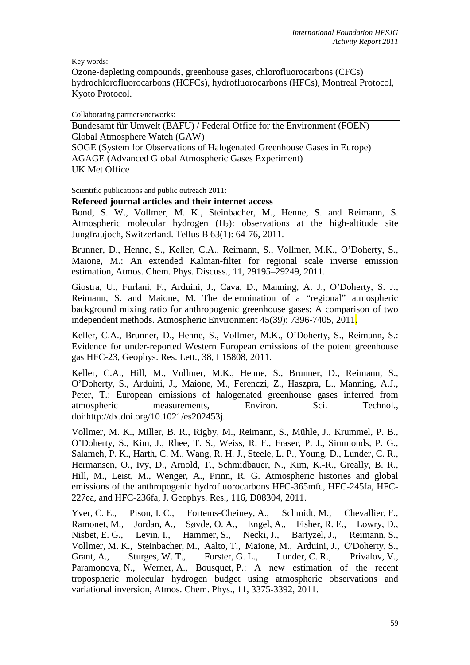Key words:

Ozone-depleting compounds, greenhouse gases, chlorofluorocarbons (CFCs) hydrochlorofluorocarbons (HCFCs), hydrofluorocarbons (HFCs), Montreal Protocol, Kyoto Protocol.

Collaborating partners/networks:

Bundesamt für Umwelt (BAFU) / Federal Office for the Environment (FOEN) Global Atmosphere Watch (GAW) SOGE (System for Observations of Halogenated Greenhouse Gases in Europe) AGAGE (Advanced Global Atmospheric Gases Experiment) UK Met Office

Scientific publications and public outreach 2011:

### **Refereed journal articles and their internet access**

Bond, S. W., Vollmer, M. K., Steinbacher, M., Henne, S. and Reimann, S. Atmospheric molecular hydrogen  $(H<sub>2</sub>)$ : observations at the high-altitude site Jungfraujoch, Switzerland. Tellus B 63(1): 64-76, 2011.

Brunner, D., Henne, S., Keller, C.A., Reimann, S., Vollmer, M.K., O'Doherty, S., Maione, M.: An extended Kalman-filter for regional scale inverse emission estimation, Atmos. Chem. Phys. Discuss., 11, 29195–29249, 2011.

Giostra, U., Furlani, F., Arduini, J., Cava, D., Manning, A. J., O'Doherty, S. J., Reimann, S. and Maione, M. The determination of a "regional" atmospheric background mixing ratio for anthropogenic greenhouse gases: A comparison of two independent methods. Atmospheric Environment 45(39): 7396-7405, 2011.

Keller, C.A., Brunner, D., Henne, S., Vollmer, M.K., O'Doherty, S., Reimann, S.: Evidence for under-reported Western European emissions of the potent greenhouse gas HFC-23, Geophys. Res. Lett., 38, L15808, 2011.

Keller, C.A., Hill, M., Vollmer, M.K., Henne, S., Brunner, D., Reimann, S., O'Doherty, S., Arduini, J., Maione, M., Ferenczi, Z., Haszpra, L., Manning, A.J., Peter, T.: European emissions of halogenated greenhouse gases inferred from atmospheric measurements, Environ. Sci. Technol., doi:http://dx.doi.org/10.1021/es202453j.

Vollmer, M. K., Miller, B. R., Rigby, M., Reimann, S., Mühle, J., Krummel, P. B., O'Doherty, S., Kim, J., Rhee, T. S., Weiss, R. F., Fraser, P. J., Simmonds, P. G., Salameh, P. K., Harth, C. M., Wang, R. H. J., Steele, L. P., Young, D., Lunder, C. R., Hermansen, O., Ivy, D., Arnold, T., Schmidbauer, N., Kim, K.-R., Greally, B. R., Hill, M., Leist, M., Wenger, A., Prinn, R. G. Atmospheric histories and global emissions of the anthropogenic hydrofluorocarbons HFC-365mfc, HFC-245fa, HFC-227ea, and HFC-236fa, J. Geophys. Res., 116, D08304, 2011.

Yver, C. E., Pison, I. C., Fortems-Cheiney, A., Schmidt, M., Chevallier, F., Ramonet, M., Jordan, A., Søvde, O. A., Engel, A., Fisher, R. E., Lowry, D., Nisbet, E. G., Levin, I., Hammer, S., Necki, J., Bartyzel, J., Reimann, S., Vollmer, M. K., Steinbacher, M., Aalto, T., Maione, M., Arduini, J., O'Doherty, S., Grant, A., Sturges, W. T., Forster, G. L., Lunder, C. R., Privalov, V., Paramonova, N., Werner, A., Bousquet, P.: A new estimation of the recent tropospheric molecular hydrogen budget using atmospheric observations and variational inversion, Atmos. Chem. Phys., 11, 3375-3392, 2011.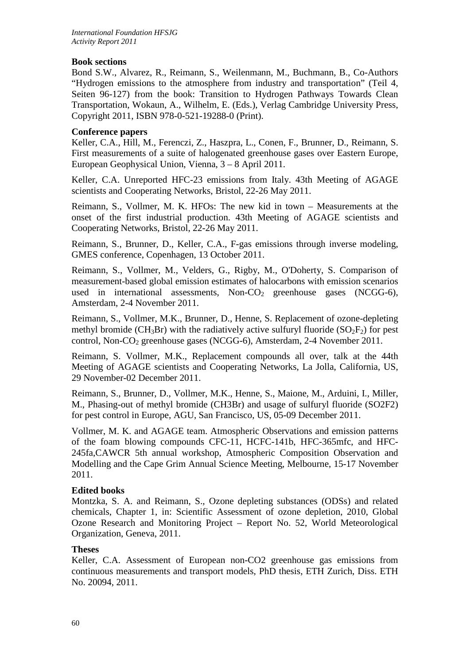## **Book sections**

Bond S.W., Alvarez, R., Reimann, S., Weilenmann, M., Buchmann, B., Co-Authors "Hydrogen emissions to the atmosphere from industry and transportation" (Teil 4, Seiten 96-127) from the book: Transition to Hydrogen Pathways Towards Clean Transportation, Wokaun, A., Wilhelm, E. (Eds.), Verlag Cambridge University Press, Copyright 2011, ISBN 978-0-521-19288-0 (Print).

### **Conference papers**

Keller, C.A., Hill, M., Ferenczi, Z., Haszpra, L., Conen, F., Brunner, D., Reimann, S. First measurements of a suite of halogenated greenhouse gases over Eastern Europe, European Geophysical Union, Vienna, 3 – 8 April 2011.

Keller, C.A. Unreported HFC-23 emissions from Italy. 43th Meeting of AGAGE scientists and Cooperating Networks, Bristol, 22-26 May 2011.

Reimann, S., Vollmer, M. K. HFOs: The new kid in town – Measurements at the onset of the first industrial production. 43th Meeting of AGAGE scientists and Cooperating Networks, Bristol, 22-26 May 2011.

Reimann, S., Brunner, D., Keller, C.A., F-gas emissions through inverse modeling, GMES conference, Copenhagen, 13 October 2011.

Reimann, S., Vollmer, M., Velders, G., Rigby, M., O'Doherty, S. Comparison of measurement-based global emission estimates of halocarbons with emission scenarios used in international assessments,  $Non\text{-}CO_2$  greenhouse gases (NCGG-6), Amsterdam, 2-4 November 2011.

Reimann, S., Vollmer, M.K., Brunner, D., Henne, S. Replacement of ozone-depleting methyl bromide ( $CH_3Br$ ) with the radiatively active sulfuryl fluoride ( $SO_2F_2$ ) for pest control, Non-CO<sub>2</sub> greenhouse gases (NCGG-6), Amsterdam, 2-4 November 2011.

Reimann, S. Vollmer, M.K., Replacement compounds all over, talk at the 44th Meeting of AGAGE scientists and Cooperating Networks, La Jolla, California, US, 29 November-02 December 2011.

Reimann, S., Brunner, D., Vollmer, M.K., Henne, S., Maione, M., Arduini, I., Miller, M., Phasing-out of methyl bromide (CH3Br) and usage of sulfuryl fluoride (SO2F2) for pest control in Europe, AGU, San Francisco, US, 05-09 December 2011.

Vollmer, M. K. and AGAGE team. Atmospheric Observations and emission patterns of the foam blowing compounds CFC-11, HCFC-141b, HFC-365mfc, and HFC-245fa,CAWCR 5th annual workshop, Atmospheric Composition Observation and Modelling and the Cape Grim Annual Science Meeting, Melbourne, 15-17 November 2011.

#### **Edited books**

Montzka, S. A. and Reimann, S., Ozone depleting substances (ODSs) and related chemicals, Chapter 1, in: Scientific Assessment of ozone depletion, 2010, Global Ozone Research and Monitoring Project – Report No. 52, World Meteorological Organization, Geneva, 2011.

#### **Theses**

Keller, C.A. Assessment of European non-CO2 greenhouse gas emissions from continuous measurements and transport models, PhD thesis, ETH Zurich, Diss. ETH No. 20094, 2011.